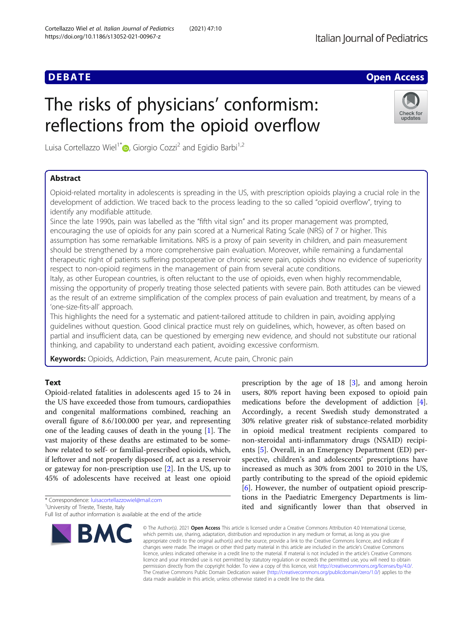# **DEBATE CONSIDERED ACCESS CONSIDERED ACCESS**

Check for updates

# The risks of physicians' conformism: reflections from the opioid overflow

Luisa Cortellazzo Wiel<sup>1\*</sup>  $\bullet$ [,](http://orcid.org/0000-0003-0069-560X) Giorgio Cozzi<sup>2</sup> and Egidio Barbi<sup>1,2</sup>

# Abstract

Opioid-related mortality in adolescents is spreading in the US, with prescription opioids playing a crucial role in the development of addiction. We traced back to the process leading to the so called "opioid overflow", trying to identify any modifiable attitude.

Since the late 1990s, pain was labelled as the "fifth vital sign" and its proper management was prompted, encouraging the use of opioids for any pain scored at a Numerical Rating Scale (NRS) of 7 or higher. This assumption has some remarkable limitations. NRS is a proxy of pain severity in children, and pain measurement should be strengthened by a more comprehensive pain evaluation. Moreover, while remaining a fundamental therapeutic right of patients suffering postoperative or chronic severe pain, opioids show no evidence of superiority respect to non-opioid regimens in the management of pain from several acute conditions.

Italy, as other European countries, is often reluctant to the use of opioids, even when highly recommendable, missing the opportunity of properly treating those selected patients with severe pain. Both attitudes can be viewed as the result of an extreme simplification of the complex process of pain evaluation and treatment, by means of a 'one-size-fits-all' approach.

This highlights the need for a systematic and patient-tailored attitude to children in pain, avoiding applying guidelines without question. Good clinical practice must rely on guidelines, which, however, as often based on partial and insufficient data, can be questioned by emerging new evidence, and should not substitute our rational thinking, and capability to understand each patient, avoiding excessive conformism.

Keywords: Opioids, Addiction, Pain measurement, Acute pain, Chronic pain

## **Text**

Opioid-related fatalities in adolescents aged 15 to 24 in the US have exceeded those from tumours, cardiopathies and congenital malformations combined, reaching an overall figure of 8.6/100.000 per year, and representing one of the leading causes of death in the young [[1\]](#page-2-0). The vast majority of these deaths are estimated to be somehow related to self- or familial-prescribed opioids, which, if leftover and not properly disposed of, act as a reservoir or gateway for non-prescription use [\[2](#page-2-0)]. In the US, up to 45% of adolescents have received at least one opioid

\* Correspondence: [luisacortellazzowiel@mail.com](mailto:luisacortellazzowiel@mail.com) <sup>1</sup>

Full list of author information is available at the end of the article



prescription by the age of 18 [[3\]](#page-2-0), and among heroin users, 80% report having been exposed to opioid pain medications before the development of addiction [\[4](#page-2-0)]. Accordingly, a recent Swedish study demonstrated a 30% relative greater risk of substance-related morbidity in opioid medical treatment recipients compared to non-steroidal anti-inflammatory drugs (NSAID) recipients [[5\]](#page-2-0). Overall, in an Emergency Department (ED) perspective, children's and adolescents' prescriptions have increased as much as 30% from 2001 to 2010 in the US, partly contributing to the spread of the opioid epidemic [[6\]](#page-2-0). However, the number of outpatient opioid prescriptions in the Paediatric Emergency Departments is limited and significantly lower than that observed in

© The Author(s), 2021 **Open Access** This article is licensed under a Creative Commons Attribution 4.0 International License, which permits use, sharing, adaptation, distribution and reproduction in any medium or format, as long as you give appropriate credit to the original author(s) and the source, provide a link to the Creative Commons licence, and indicate if changes were made. The images or other third party material in this article are included in the article's Creative Commons licence, unless indicated otherwise in a credit line to the material. If material is not included in the article's Creative Commons licence and your intended use is not permitted by statutory regulation or exceeds the permitted use, you will need to obtain permission directly from the copyright holder. To view a copy of this licence, visit [http://creativecommons.org/licenses/by/4.0/.](http://creativecommons.org/licenses/by/4.0/) The Creative Commons Public Domain Dedication waiver [\(http://creativecommons.org/publicdomain/zero/1.0/](http://creativecommons.org/publicdomain/zero/1.0/)) applies to the data made available in this article, unless otherwise stated in a credit line to the data.

<sup>&</sup>lt;sup>1</sup>University of Trieste, Trieste, Italy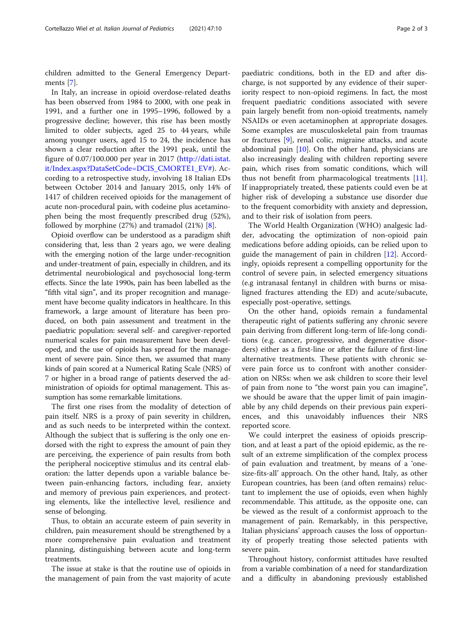children admitted to the General Emergency Departments [[7\]](#page-2-0).

In Italy, an increase in opioid overdose-related deaths has been observed from 1984 to 2000, with one peak in 1991, and a further one in 1995–1996, followed by a progressive decline; however, this rise has been mostly limited to older subjects, aged 25 to 44 years, while among younger users, aged 15 to 24, the incidence has shown a clear reduction after the 1991 peak, until the figure of 0.07/100.000 per year in 2017 ([http://dati.istat.](http://dati.istat.it/Index.aspx?DataSetCode=DCIS_CMORTE1_EV) [it/Index.aspx?DataSetCode=DCIS\\_CMORTE1\\_EV#](http://dati.istat.it/Index.aspx?DataSetCode=DCIS_CMORTE1_EV)). According to a retrospective study, involving 18 Italian EDs between October 2014 and January 2015, only 14% of 1417 of children received opioids for the management of acute non-procedural pain, with codeine plus acetaminophen being the most frequently prescribed drug (52%), followed by morphine (27%) and tramadol (21%) [\[8](#page-2-0)].

Opioid overflow can be understood as a paradigm shift considering that, less than 2 years ago, we were dealing with the emerging notion of the large under-recognition and under-treatment of pain, especially in children, and its detrimental neurobiological and psychosocial long-term effects. Since the late 1990s, pain has been labelled as the "fifth vital sign", and its proper recognition and management have become quality indicators in healthcare. In this framework, a large amount of literature has been produced, on both pain assessment and treatment in the paediatric population: several self- and caregiver-reported numerical scales for pain measurement have been developed, and the use of opioids has spread for the management of severe pain. Since then, we assumed that many kinds of pain scored at a Numerical Rating Scale (NRS) of 7 or higher in a broad range of patients deserved the administration of opioids for optimal management. This assumption has some remarkable limitations.

The first one rises from the modality of detection of pain itself. NRS is a proxy of pain severity in children, and as such needs to be interpreted within the context. Although the subject that is suffering is the only one endorsed with the right to express the amount of pain they are perceiving, the experience of pain results from both the peripheral nociceptive stimulus and its central elaboration: the latter depends upon a variable balance between pain-enhancing factors, including fear, anxiety and memory of previous pain experiences, and protecting elements, like the intellective level, resilience and sense of belonging.

Thus, to obtain an accurate esteem of pain severity in children, pain measurement should be strengthened by a more comprehensive pain evaluation and treatment planning, distinguishing between acute and long-term treatments.

The issue at stake is that the routine use of opioids in the management of pain from the vast majority of acute

paediatric conditions, both in the ED and after discharge, is not supported by any evidence of their superiority respect to non-opioid regimens. In fact, the most frequent paediatric conditions associated with severe pain largely benefit from non-opioid treatments, namely NSAIDs or even acetaminophen at appropriate dosages. Some examples are musculoskeletal pain from traumas or fractures [\[9](#page-2-0)], renal colic, migraine attacks, and acute abdominal pain [\[10\]](#page-2-0). On the other hand, physicians are also increasingly dealing with children reporting severe pain, which rises from somatic conditions, which will thus not benefit from pharmacological treatments [\[11](#page-2-0)]. If inappropriately treated, these patients could even be at higher risk of developing a substance use disorder due to the frequent comorbidity with anxiety and depression, and to their risk of isolation from peers.

The World Health Organization (WHO) analgesic ladder, advocating the optimization of non-opioid pain medications before adding opioids, can be relied upon to guide the management of pain in children [[12\]](#page-2-0). Accordingly, opioids represent a compelling opportunity for the control of severe pain, in selected emergency situations (e.g intranasal fentanyl in children with burns or misaligned fractures attending the ED) and acute/subacute, especially post-operative, settings.

On the other hand, opioids remain a fundamental therapeutic right of patients suffering any chronic severe pain deriving from different long-term of life-long conditions (e.g. cancer, progressive, and degenerative disorders) either as a first-line or after the failure of first-line alternative treatments. These patients with chronic severe pain force us to confront with another consideration on NRSs: when we ask children to score their level of pain from none to "the worst pain you can imagine", we should be aware that the upper limit of pain imaginable by any child depends on their previous pain experiences, and this unavoidably influences their NRS reported score.

We could interpret the easiness of opioids prescription, and at least a part of the opioid epidemic, as the result of an extreme simplification of the complex process of pain evaluation and treatment, by means of a 'onesize-fits-all' approach. On the other hand, Italy, as other European countries, has been (and often remains) reluctant to implement the use of opioids, even when highly recommendable. This attitude, as the opposite one, can be viewed as the result of a conformist approach to the management of pain. Remarkably, in this perspective, Italian physicians' approach causes the loss of opportunity of properly treating those selected patients with severe pain.

Throughout history, conformist attitudes have resulted from a variable combination of a need for standardization and a difficulty in abandoning previously established